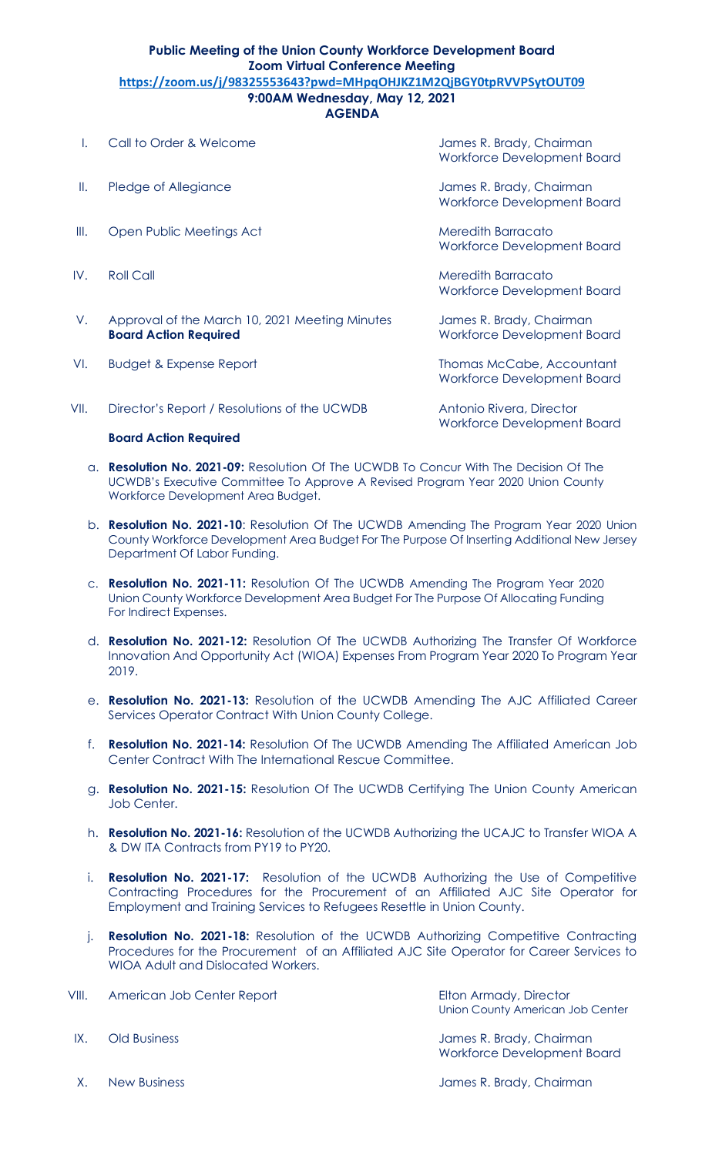## **Public Meeting of the Union County Workforce Development Board Zoom Virtual Conference Meeting https://zoom.us/j/98325553643?pwd=MHpqOHJKZ1M2QjBGY0tpRVVPSytOUT09 9:00AM Wednesday, May 12, 2021**

**AGENDA**

| L.   | Call to Order & Welcome                                                        | James R. Brady, Chairman<br>Workforce Development Board        |
|------|--------------------------------------------------------------------------------|----------------------------------------------------------------|
| Ⅱ.   | Pledge of Allegiance                                                           | James R. Brady, Chairman<br><b>Workforce Development Board</b> |
| III. | Open Public Meetings Act                                                       | Meredith Barracato<br>Workforce Development Board              |
| IV.  | <b>Roll Call</b>                                                               | Meredith Barracato<br>Workforce Development Board              |
| V.   | Approval of the March 10, 2021 Meeting Minutes<br><b>Board Action Required</b> | James R. Brady, Chairman<br>Workforce Development Board        |
| VI.  | <b>Budget &amp; Expense Report</b>                                             | Thomas McCabe, Accountant<br>Workforce Development Board       |
| VII. | Director's Report / Resolutions of the UCWDB                                   | Antonio Rivera, Director<br>Workforce Development Board        |
|      | <b>Board Action Required</b>                                                   |                                                                |

- a. **Resolution No. 2021-09:** Resolution Of The UCWDB To Concur With The Decision Of The UCWDB's Executive Committee To Approve A Revised Program Year 2020 Union County Workforce Development Area Budget.
- b. **Resolution No. 2021-10**: Resolution Of The UCWDB Amending The Program Year 2020 Union County Workforce Development Area Budget For The Purpose Of Inserting Additional New Jersey Department Of Labor Funding.
- c. **Resolution No. 2021-11:** Resolution Of The UCWDB Amending The Program Year 2020 Union County Workforce Development Area Budget For The Purpose Of Allocating Funding For Indirect Expenses.
- d. **Resolution No. 2021-12:** Resolution Of The UCWDB Authorizing The Transfer Of Workforce Innovation And Opportunity Act (WIOA) Expenses From Program Year 2020 To Program Year 2019.
- e. **Resolution No. 2021-13:** Resolution of the UCWDB Amending The AJC Affiliated Career Services Operator Contract With Union County College.
- f. **Resolution No. 2021-14:** Resolution Of The UCWDB Amending The Affiliated American Job Center Contract With The International Rescue Committee.
- g. **Resolution No. 2021-15:** Resolution Of The UCWDB Certifying The Union County American Job Center.
- h. **Resolution No. 2021-16:** Resolution of the UCWDB Authorizing the UCAJC to Transfer WIOA A & DW ITA Contracts from PY19 to PY20.
- i. **Resolution No. 2021-17:** Resolution of the UCWDB Authorizing the Use of Competitive Contracting Procedures for the Procurement of an Affiliated AJC Site Operator for Employment and Training Services to Refugees Resettle in Union County.
- j. **Resolution No. 2021-18:** Resolution of the UCWDB Authorizing Competitive Contracting Procedures for the Procurement of an Affiliated AJC Site Operator for Career Services to WIOA Adult and Dislocated Workers.

| VIII. | American Job Center Report | Elton Armady, Director<br>Union County American Job Center |
|-------|----------------------------|------------------------------------------------------------|
| IX.   | Old Business               | James R. Brady, Chairman                                   |

X. New Business **Accord Accord Accord Accord Accord Accord Accord Accord Accord Accord Accord Accord Accord Accord Accord Accord Accord Accord Accord Accord Accord Accord Accord Accord Accord Accord Accord Accord Accord Ac** 

Workforce Development Board